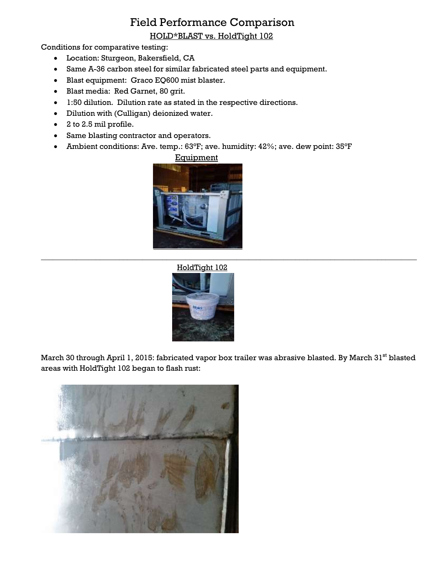## Field Performance Comparison

HOLD\*BLAST vs. HoldTight 102

Conditions for comparative testing:

- Location: Sturgeon, Bakersfield, CA
- Same A-36 carbon steel for similar fabricated steel parts and equipment.
- Blast equipment: Graco EQ600 mist blaster.
- Blast media: Red Garnet, 80 grit.
- 1:50 dilution. Dilution rate as stated in the respective directions.
- Dilution with (Culligan) deionized water.
- 2 to 2.5 mil profile.
- Same blasting contractor and operators.
- Ambient conditions: Ave. temp.: 63°F; ave. humidity: 42%; ave. dew point: 35°F



## HoldTight 102



March 30 through April 1, 2015: fabricated vapor box trailer was abrasive blasted. By March 31<sup>st</sup> blasted areas with HoldTight 102 began to flash rust:

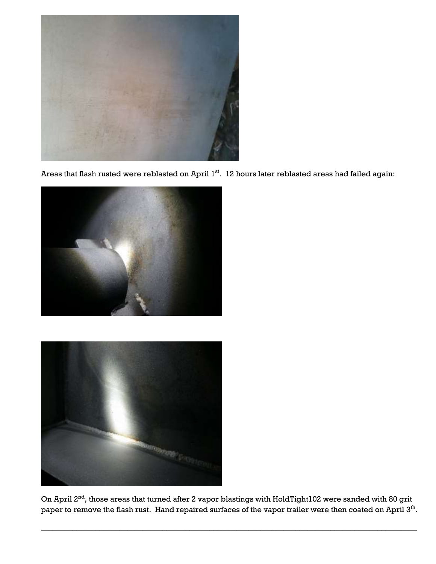

Areas that flash rusted were reblasted on April 1<sup>st</sup>. 12 hours later reblasted areas had failed again:





On April 2<sup>nd</sup>, those areas that turned after 2 vapor blastings with HoldTight102 were sanded with 80 grit paper to remove the flash rust. Hand repaired surfaces of the vapor trailer were then coated on April 3<sup>th</sup>.

\_\_\_\_\_\_\_\_\_\_\_\_\_\_\_\_\_\_\_\_\_\_\_\_\_\_\_\_\_\_\_\_\_\_\_\_\_\_\_\_\_\_\_\_\_\_\_\_\_\_\_\_\_\_\_\_\_\_\_\_\_\_\_\_\_\_\_\_\_\_\_\_\_\_\_\_\_\_\_\_\_\_\_\_\_\_\_\_\_\_\_\_\_\_\_\_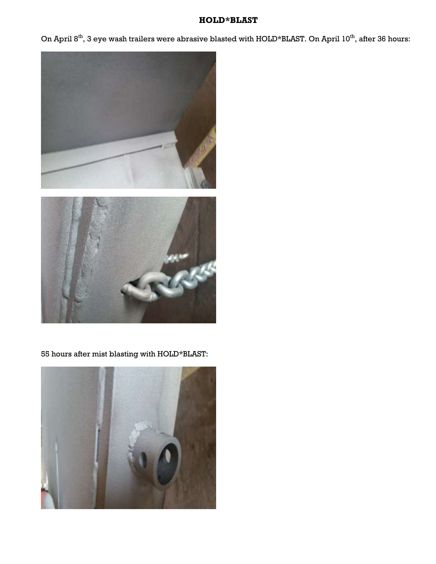## **HOLD\*BLAST**

On April 8<sup>th</sup>, 3 eye wash trailers were abrasive blasted with HOLD\*BLAST. On April 10<sup>th</sup>, after 36 hours:





55 hours after mist blasting with HOLD\*BLAST: